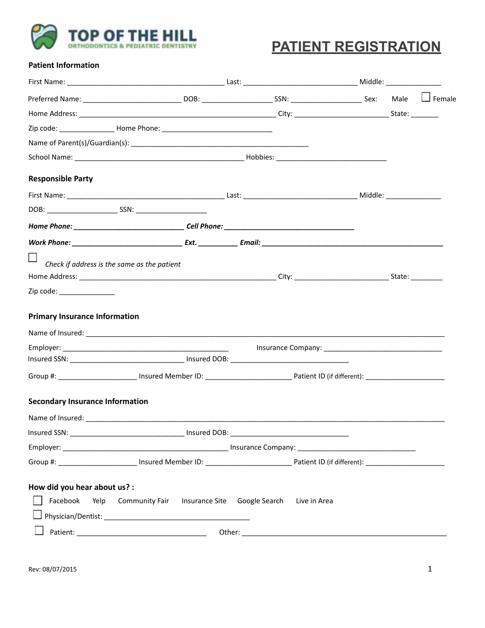

# **PATIENT REGISTRATION**

#### **Patient Information**

| <b>Responsible Party</b>               |                                                       |              |  |
|----------------------------------------|-------------------------------------------------------|--------------|--|
|                                        |                                                       |              |  |
|                                        |                                                       |              |  |
|                                        |                                                       |              |  |
|                                        |                                                       |              |  |
|                                        | Check if address is the same as the patient           |              |  |
| Zip code: _______________              |                                                       |              |  |
| <b>Primary Insurance Information</b>   |                                                       |              |  |
|                                        |                                                       |              |  |
|                                        |                                                       |              |  |
|                                        |                                                       |              |  |
| <b>Secondary Insurance Information</b> |                                                       |              |  |
|                                        |                                                       |              |  |
|                                        |                                                       |              |  |
|                                        |                                                       |              |  |
|                                        |                                                       |              |  |
| How did you hear about us? :           |                                                       |              |  |
| Facebook<br>Yelp                       | <b>Community Fair</b><br>Insurance Site Google Search | Live in Area |  |
|                                        |                                                       |              |  |
|                                        |                                                       |              |  |
|                                        |                                                       |              |  |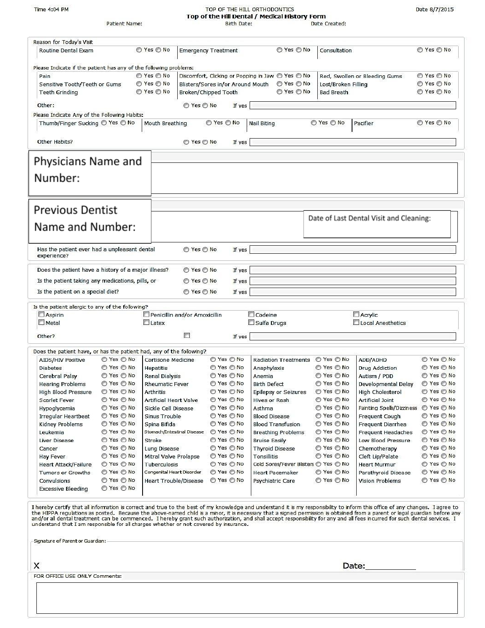Time 4:04 PM

Patient Name:

# TOP OF THE HILL ORTHODONTICS<br>Top of the Hill Dental / Medical History Form

Date Created:

| Reason for Today's Visit<br>Routine Dental Exam<br>Please Indicate if the patient has any of the following problems:<br>Pain<br>Sensitive Tooth/Teeth or Gums<br><b>Teeth Grinding</b><br>Other:<br>Please Indicate Any of the Following Habits:<br>Thumb/Finger Sucking ◎ Yes ◎ No<br>Other Habits?<br>Physicians Name and |                          | ◯ Yes ◯ No<br>⊙ Yes ⊙ No<br>◯ Yes ◯ No<br>◯ Yes ◯ No<br>◯ Yes ◯ No<br>Mouth Breathing | <b>Emergency Treatment</b><br>Blisters/Sores in/or Around Mouth<br>Broken/Chipped Tooth<br>If yes<br>◯ Yes ◯ No | © Yes ⊙ No<br>Discomfort, Clicking or Popping in Jaw ◎ Yes ◎ No<br>◯ Yes ◯ No<br>⊙ Yes ⊙ No | Consultation<br>Lost/Broken Filling<br><b>Bad Breath</b> | Red, Swollen or Bleeding Gums           | ◯ Yes ◯ No<br>⊙ Yes ⊙ No |
|-----------------------------------------------------------------------------------------------------------------------------------------------------------------------------------------------------------------------------------------------------------------------------------------------------------------------------|--------------------------|---------------------------------------------------------------------------------------|-----------------------------------------------------------------------------------------------------------------|---------------------------------------------------------------------------------------------|----------------------------------------------------------|-----------------------------------------|--------------------------|
|                                                                                                                                                                                                                                                                                                                             |                          |                                                                                       |                                                                                                                 |                                                                                             |                                                          |                                         |                          |
|                                                                                                                                                                                                                                                                                                                             |                          |                                                                                       |                                                                                                                 |                                                                                             |                                                          |                                         |                          |
|                                                                                                                                                                                                                                                                                                                             |                          |                                                                                       |                                                                                                                 |                                                                                             |                                                          |                                         |                          |
|                                                                                                                                                                                                                                                                                                                             |                          |                                                                                       |                                                                                                                 |                                                                                             |                                                          |                                         |                          |
|                                                                                                                                                                                                                                                                                                                             |                          |                                                                                       |                                                                                                                 |                                                                                             |                                                          |                                         | ⊙ Yes ⊙ No               |
|                                                                                                                                                                                                                                                                                                                             |                          |                                                                                       |                                                                                                                 |                                                                                             |                                                          |                                         | © Yes ⊙ No               |
|                                                                                                                                                                                                                                                                                                                             |                          |                                                                                       |                                                                                                                 |                                                                                             |                                                          |                                         |                          |
|                                                                                                                                                                                                                                                                                                                             |                          |                                                                                       |                                                                                                                 |                                                                                             |                                                          |                                         |                          |
|                                                                                                                                                                                                                                                                                                                             |                          |                                                                                       |                                                                                                                 | Nail Biting                                                                                 | ◯ Yes ◯ No                                               | Pacifier                                | $\odot$ Yes $\odot$ No   |
|                                                                                                                                                                                                                                                                                                                             |                          |                                                                                       |                                                                                                                 |                                                                                             |                                                          |                                         |                          |
|                                                                                                                                                                                                                                                                                                                             |                          | ◯ Yes ◯ No                                                                            | If yes                                                                                                          |                                                                                             |                                                          |                                         |                          |
|                                                                                                                                                                                                                                                                                                                             |                          |                                                                                       |                                                                                                                 |                                                                                             |                                                          |                                         |                          |
|                                                                                                                                                                                                                                                                                                                             |                          |                                                                                       |                                                                                                                 |                                                                                             |                                                          |                                         |                          |
| Number:                                                                                                                                                                                                                                                                                                                     |                          |                                                                                       |                                                                                                                 |                                                                                             |                                                          |                                         |                          |
|                                                                                                                                                                                                                                                                                                                             |                          |                                                                                       |                                                                                                                 |                                                                                             |                                                          |                                         |                          |
|                                                                                                                                                                                                                                                                                                                             |                          |                                                                                       |                                                                                                                 |                                                                                             |                                                          |                                         |                          |
| <b>Previous Dentist</b>                                                                                                                                                                                                                                                                                                     |                          |                                                                                       |                                                                                                                 |                                                                                             |                                                          | Date of Last Dental Visit and Cleaning: |                          |
| Name and Number:                                                                                                                                                                                                                                                                                                            |                          |                                                                                       |                                                                                                                 |                                                                                             |                                                          |                                         |                          |
|                                                                                                                                                                                                                                                                                                                             |                          |                                                                                       |                                                                                                                 |                                                                                             |                                                          |                                         |                          |
| Has the patient ever had a unpleasant dental<br>experience?                                                                                                                                                                                                                                                                 |                          | ⊙ Yes ⊙ No                                                                            | If yes                                                                                                          |                                                                                             |                                                          |                                         |                          |
| Does the patient have a history of a major illness?                                                                                                                                                                                                                                                                         |                          | ⊙ Yes ⊙ No                                                                            | If yes                                                                                                          |                                                                                             |                                                          |                                         |                          |
| Is the patient taking any medications, pills, or                                                                                                                                                                                                                                                                            |                          | $\odot$ Yes $\odot$ No                                                                | If yes                                                                                                          |                                                                                             |                                                          |                                         |                          |
| Is the patient on a special diet?                                                                                                                                                                                                                                                                                           |                          | © Yes © No                                                                            | If yes                                                                                                          |                                                                                             |                                                          |                                         |                          |
|                                                                                                                                                                                                                                                                                                                             |                          |                                                                                       |                                                                                                                 |                                                                                             |                                                          |                                         |                          |
| Is the patient allergic to any of the following?<br>$\Box$ Aspirin                                                                                                                                                                                                                                                          |                          | Penicillin and/or Amoxicillin                                                         |                                                                                                                 | Codeine                                                                                     |                                                          | Acrylic                                 |                          |
| $\square$ Metal                                                                                                                                                                                                                                                                                                             |                          | $\Box$ Latex                                                                          |                                                                                                                 | Sulfa Drugs                                                                                 |                                                          | Local Anesthetics                       |                          |
|                                                                                                                                                                                                                                                                                                                             |                          |                                                                                       |                                                                                                                 |                                                                                             |                                                          |                                         |                          |
| Other?                                                                                                                                                                                                                                                                                                                      |                          | ш                                                                                     | If yes                                                                                                          |                                                                                             |                                                          |                                         |                          |
| Does the patient have, or has the patient had, any of the following?                                                                                                                                                                                                                                                        |                          |                                                                                       |                                                                                                                 |                                                                                             |                                                          |                                         |                          |
| AIDS/HIV Positive                                                                                                                                                                                                                                                                                                           | ◯ Yes ◯ No               | Cortisone Medicine                                                                    | © Yes ⊙ No                                                                                                      | <b>Radiation Treatments</b>                                                                 | $\odot$ Yes $\odot$ No                                   | ADD/ADHD                                | ◯ Yes ◯ No               |
| <b>Diabetes</b>                                                                                                                                                                                                                                                                                                             | ◯ Yes ◯ No               | Hepatitis                                                                             | ⊙ Yes ⊙ No                                                                                                      | Anaphylaxis                                                                                 | ⊙ Yes ⊙ No                                               | Drug Addiction                          | ◯ Yes ◯ No               |
| Cerebral Palsy                                                                                                                                                                                                                                                                                                              | ◯ Yes ◯ No               | <b>Renal Dialysis</b>                                                                 | ◯ Yes ◯ No                                                                                                      | Anemia                                                                                      | ◯ Yes ◯ No                                               | Autism / PDD                            | ⊙ Yes ⊙ No               |
| <b>Hearing Problems</b>                                                                                                                                                                                                                                                                                                     | © Yes ⊙ No               | <b>Rheumatic Fever</b>                                                                | ⊙ Yes ⊙ No                                                                                                      | <b>Birth Defect</b>                                                                         | © Yes © No                                               | Developmental Delay                     | ⊙ Yes ⊙ No               |
| High Blood Pressure                                                                                                                                                                                                                                                                                                         | ⊙ Yes ⊙ No               | <b>Arthritis</b>                                                                      | ◯ Yes ◯ No                                                                                                      | Epilepsy or Seizures                                                                        | ◯ Yes ◯ No                                               | High Cholesterol                        | © Yes © No               |
| Scarlet Fever                                                                                                                                                                                                                                                                                                               | ◯ Yes ◯ No               | Artificial Heart Valve                                                                | ◯ Yes ◯ No                                                                                                      | Hives or Rash                                                                               | © Yes ⊙ No                                               | Artificial Joint                        | © Yes ⊙ No               |
|                                                                                                                                                                                                                                                                                                                             | $\odot$ Yes $\odot$ No   | Sickle Cell Disease                                                                   | ◯ Yes ◯ No                                                                                                      | Asthma                                                                                      | © Yes © No                                               | Fainting Spells/Dizziness ◎ Yes ◎ No    |                          |
| Hypoglycemia                                                                                                                                                                                                                                                                                                                |                          |                                                                                       |                                                                                                                 | <b>Blood Disease</b>                                                                        | © Yes ⊙ No                                               | <b>Frequent Cough</b>                   | $\odot$ Yes $\odot$ No   |
| <b>Irregular Heartbeat</b>                                                                                                                                                                                                                                                                                                  | $\odot$ Yes $\odot$ No   | Sinus Trouble                                                                         | ⊙ Yes ⊙ No                                                                                                      |                                                                                             |                                                          |                                         |                          |
| Kidney Problems                                                                                                                                                                                                                                                                                                             | © Yes ⊙ No               | Spina Bifida                                                                          | ◯ Yes ◯ No                                                                                                      | <b>Blood Transfusion</b>                                                                    | © Yes © No                                               | Frequent Diarrhea                       | ⊙ Yes ⊙ No               |
| Leukemia                                                                                                                                                                                                                                                                                                                    | $\odot$ Yes $\odot$ No   | Stomach/Intestinal Disease ◎ Yes ◎ No                                                 |                                                                                                                 | <b>Breathing Problems</b>                                                                   | ⊙ Yes ⊙ No                                               | <b>Frequent Headaches</b>               | $\odot$ Yes $\odot$ No   |
| Liver Disease                                                                                                                                                                                                                                                                                                               | © Yes ⊙ No               | Stroke                                                                                | ◎ Yes ◎ No                                                                                                      | <b>Bruise Easily</b>                                                                        | ⊙ Yes ⊙ No                                               | Low Blood Pressure                      | ⊙ Yes ⊙ No               |
| Cancer                                                                                                                                                                                                                                                                                                                      | © Yes ⊙ No               | Lung Disease                                                                          | $\odot$ Yes $\odot$ No                                                                                          | <b>Thyroid Disease</b>                                                                      | $\odot$ Yes $\odot$ No                                   | Chemotherapy                            | $\odot$ Yes $\odot$ No   |
| Hay Fever                                                                                                                                                                                                                                                                                                                   | $\odot$ Yes $\odot$ No   | Mitral Valve Prolapse                                                                 | ◎ Yes ◎ No                                                                                                      | Tonsillitis                                                                                 | ⊙ Yes ⊙ No                                               | Cleft Lip/Palate                        | © Yes ⊙ No               |
| Heart Attack/Failure                                                                                                                                                                                                                                                                                                        | $\odot$ Yes $\odot$ No   | Tuberculosis                                                                          | ◯ Yes ◯ No                                                                                                      | Cold Sores/Fever Blisters @ Yes @ No                                                        |                                                          | <b>Heart Murmur</b>                     | © Yes ⊙ No               |
| Tumors or Growths                                                                                                                                                                                                                                                                                                           | © Yes ⊙ No               | Congenital Heart Disorder                                                             | ◯ Yes ◯ No                                                                                                      | Heart Pacemaker                                                                             | © Yes © No                                               | Parathyroid Disease                     | ⊙ Yes ⊙ No               |
| Convulsions<br><b>Excessive Bleeding</b>                                                                                                                                                                                                                                                                                    | © Yes © No<br>◯ Yes ◯ No | <b>Heart Trouble/Disease</b>                                                          | ◯ Yes ◯ No                                                                                                      | Psychiatric Care                                                                            | © Yes ⊙ No                                               | Vision Problems                         | ⊙ Yes ⊙ No               |

X

FOR OFFICE USE ONLY Comments:

Date:

| ie Hill Dental / Medx |  |  |
|-----------------------|--|--|
| Birth Date:           |  |  |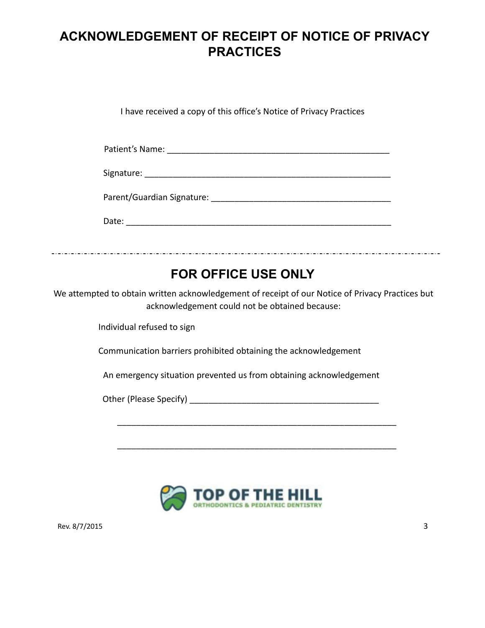## **ACKNOWLEDGEMENT OF RECEIPT OF NOTICE OF PRIVACY PRACTICES**

I have received a copy of this office's Notice of Privacy Practices

| Patient's Name: |
|-----------------|
|                 |

| Signature: |  |
|------------|--|
|            |  |

Parent/Guardian Signature: \_\_\_\_\_\_\_\_\_\_\_\_\_\_\_\_\_\_\_\_\_\_\_\_\_\_\_\_\_\_\_\_\_\_\_\_\_\_

Date:  $\Box$ 

#### 

## **FOR OFFICE USE ONLY**

We attempted to obtain written acknowledgement of receipt of our Notice of Privacy Practices but acknowledgement could not be obtained because:

Individual refused to sign

Communication barriers prohibited obtaining the acknowledgement

An emergency situation prevented us from obtaining acknowledgement

\_\_\_\_\_\_\_\_\_\_\_\_\_\_\_\_\_\_\_\_\_\_\_\_\_\_\_\_\_\_\_\_\_\_\_\_\_\_\_\_\_\_\_\_\_\_\_\_\_\_\_\_\_\_\_\_\_\_\_

\_\_\_\_\_\_\_\_\_\_\_\_\_\_\_\_\_\_\_\_\_\_\_\_\_\_\_\_\_\_\_\_\_\_\_\_\_\_\_\_\_\_\_\_\_\_\_\_\_\_\_\_\_\_\_\_\_\_\_

Other (Please Specify) **Department** 



Rev. 8/7/2015 3